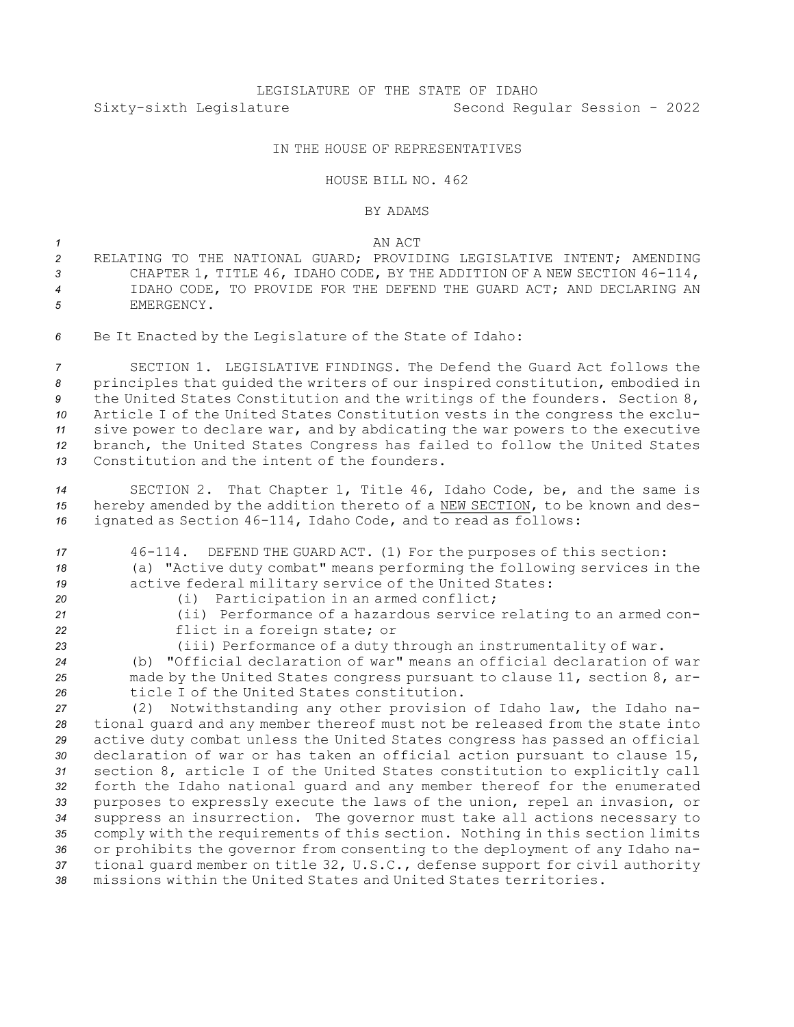## IN THE HOUSE OF REPRESENTATIVES

## HOUSE BILL NO. 462

## BY ADAMS

## *1* AN ACT

- *2* RELATING TO THE NATIONAL GUARD; PROVIDING LEGISLATIVE INTENT; AMENDING *<sup>3</sup>* CHAPTER 1, TITLE 46, IDAHO CODE, BY THE ADDITION OF A NEW SECTION 46-114, *4* IDAHO CODE, TO PROVIDE FOR THE DEFEND THE GUARD ACT; AND DECLARING AN *5* EMERGENCY.
- *<sup>6</sup>* Be It Enacted by the Legislature of the State of Idaho:

 SECTION 1. LEGISLATIVE FINDINGS. The Defend the Guard Act follows the principles that guided the writers of our inspired constitution, embodied in the United States Constitution and the writings of the founders. Section 8, Article <sup>I</sup> of the United States Constitution vests in the congress the exclu- sive power to declare war, and by abdicating the war powers to the executive branch, the United States Congress has failed to follow the United States Constitution and the intent of the founders.

- *<sup>14</sup>* SECTION 2. That Chapter 1, Title 46, Idaho Code, be, and the same is *<sup>15</sup>* hereby amended by the addition thereto of <sup>a</sup> NEW SECTION, to be known and des-*<sup>16</sup>* ignated as Section 46-114, Idaho Code, and to read as follows:
- *<sup>17</sup>* 46-114. DEFEND THE GUARD ACT. (1) For the purposes of this section: *<sup>18</sup>* (a) "Active duty combat" means performing the following services in the *<sup>19</sup>* active federal military service of the United States: *<sup>20</sup>* (i) Participation in an armed conflict;
- 
- *<sup>21</sup>* (ii) Performance of <sup>a</sup> hazardous service relating to an armed con-*<sup>22</sup>* flict in <sup>a</sup> foreign state; or
- 
- *<sup>23</sup>* (iii) Performance of <sup>a</sup> duty through an instrumentality of war.

*<sup>24</sup>* (b) "Official declaration of war" means an official declaration of war *<sup>25</sup>* made by the United States congress pursuant to clause 11, section 8, ar-*26* ticle I of the United States constitution.

 (2) Notwithstanding any other provision of Idaho law, the Idaho na- tional guard and any member thereof must not be released from the state into active duty combat unless the United States congress has passed an official declaration of war or has taken an official action pursuant to clause 15, section 8, article <sup>I</sup> of the United States constitution to explicitly call forth the Idaho national guard and any member thereof for the enumerated purposes to expressly execute the laws of the union, repel an invasion, or suppress an insurrection. The governor must take all actions necessary to comply with the requirements of this section. Nothing in this section limits or prohibits the governor from consenting to the deployment of any Idaho na- tional guard member on title 32, U.S.C., defense support for civil authority missions within the United States and United States territories.